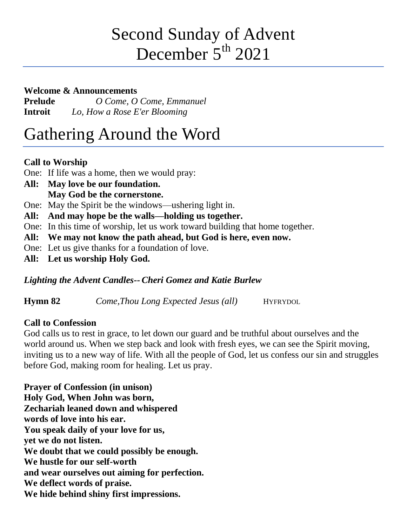# Second Sunday of Advent December  $5<sup>th</sup> 2021$

#### **Welcome & Announcements**

**Prelude** *O Come, O Come, Emmanuel* **Introit** *Lo, How a Rose E'er Blooming*

# Gathering Around the Word

## **Call to Worship**

One: If life was a home, then we would pray:

- **All: May love be our foundation. May God be the cornerstone.**
- One: May the Spirit be the windows—ushering light in.
- **All: And may hope be the walls—holding us together.**
- One: In this time of worship, let us work toward building that home together.
- **All: We may not know the path ahead, but God is here, even now.**
- One: Let us give thanks for a foundation of love.
- **All: Let us worship Holy God.**

## *Lighting the Advent Candles-- Cheri Gomez and Katie Burlew*

**Hymn 82** *Come,Thou Long Expected Jesus (all)* HYFRYDOL

## **Call to Confession**

God calls us to rest in grace, to let down our guard and be truthful about ourselves and the world around us. When we step back and look with fresh eyes, we can see the Spirit moving, inviting us to a new way of life. With all the people of God, let us confess our sin and struggles before God, making room for healing. Let us pray.

**Prayer of Confession (in unison) Holy God, When John was born, Zechariah leaned down and whispered words of love into his ear. You speak daily of your love for us, yet we do not listen. We doubt that we could possibly be enough. We hustle for our self-worth and wear ourselves out aiming for perfection. We deflect words of praise. We hide behind shiny first impressions.**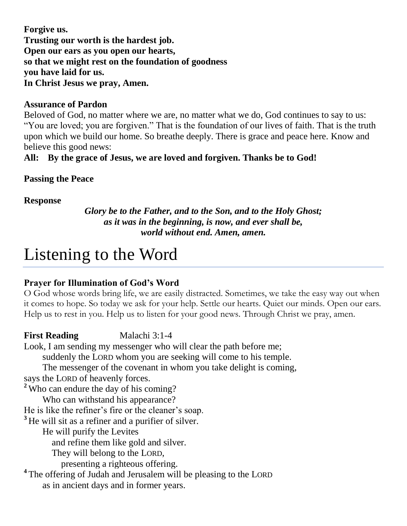**Forgive us. Trusting our worth is the hardest job. Open our ears as you open our hearts, so that we might rest on the foundation of goodness you have laid for us. In Christ Jesus we pray, Amen.**

#### **Assurance of Pardon**

Beloved of God, no matter where we are, no matter what we do, God continues to say to us: "You are loved; you are forgiven." That is the foundation of our lives of faith. That is the truth upon which we build our home. So breathe deeply. There is grace and peace here. Know and believe this good news:

#### **All: By the grace of Jesus, we are loved and forgiven. Thanks be to God!**

#### **Passing the Peace**

#### **Response**

*Glory be to the Father, and to the Son, and to the Holy Ghost; as it was in the beginning, is now, and ever shall be, world without end. Amen, amen.*

## Listening to the Word

#### **Prayer for Illumination of God's Word**

O God whose words bring life, we are easily distracted. Sometimes, we take the easy way out when it comes to hope. So today we ask for your help. Settle our hearts. Quiet our minds. Open our ears. Help us to rest in you. Help us to listen for your good news. Through Christ we pray, amen.

**First Reading Malachi 3:1-4** Look, I am sending my messenger who will clear the path before me; suddenly the LORD whom you are seeking will come to his temple. The messenger of the covenant in whom you take delight is coming, says the LORD of heavenly forces. **<sup>2</sup>** Who can endure the day of his coming? Who can withstand his appearance? He is like the refiner's fire or the cleaner's soap. **<sup>3</sup>** He will sit as a refiner and a purifier of silver. He will purify the Levites and refine them like gold and silver. They will belong to the LORD, presenting a righteous offering. <sup>4</sup> The offering of Judah and Jerusalem will be pleasing to the LORD as in ancient days and in former years.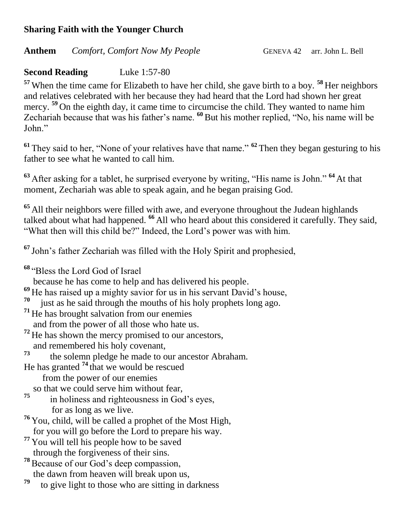#### **Sharing Faith with the Younger Church**

#### Anthem *Comfort, Comfort Now My People* GENEVA 42 arr. John L. Bell

#### **Second Reading** Luke 1:57-80

**<sup>57</sup>** When the time came for Elizabeth to have her child, she gave birth to a boy. **<sup>58</sup>** Her neighbors and relatives celebrated with her because they had heard that the Lord had shown her great mercy. **<sup>59</sup>** On the eighth day, it came time to circumcise the child. They wanted to name him Zechariah because that was his father's name. <sup>60</sup> But his mother replied, "No, his name will be John."

**<sup>61</sup>** They said to her, "None of your relatives have that name." **<sup>62</sup>** Then they began gesturing to his father to see what he wanted to call him.

**<sup>63</sup>** After asking for a tablet, he surprised everyone by writing, "His name is John." **<sup>64</sup>** At that moment, Zechariah was able to speak again, and he began praising God.

**<sup>65</sup>** All their neighbors were filled with awe, and everyone throughout the Judean highlands talked about what had happened. **<sup>66</sup>** All who heard about this considered it carefully. They said, "What then will this child be?" Indeed, the Lord's power was with him.

**<sup>67</sup>** John's father Zechariah was filled with the Holy Spirit and prophesied,

**<sup>68</sup>** "Bless the Lord God of Israel

because he has come to help and has delivered his people.

**<sup>69</sup>** He has raised up a mighty savior for us in his servant David's house,

- **70** just as he said through the mouths of his holy prophets long ago.
- **<sup>71</sup>** He has brought salvation from our enemies

and from the power of all those who hate us.

- <sup>72</sup> He has shown the mercy promised to our ancestors, and remembered his holy covenant,
- **73** the solemn pledge he made to our ancestor Abraham.

He has granted **<sup>74</sup>** that we would be rescued

- from the power of our enemies
- so that we could serve him without fear,
- **75** in holiness and righteousness in God's eyes, for as long as we live.
- **<sup>76</sup>** You, child, will be called a prophet of the Most High, for you will go before the Lord to prepare his way.
- **<sup>77</sup>** You will tell his people how to be saved through the forgiveness of their sins.
- **<sup>78</sup>**Because of our God's deep compassion, the dawn from heaven will break upon us,
- **79** to give light to those who are sitting in darkness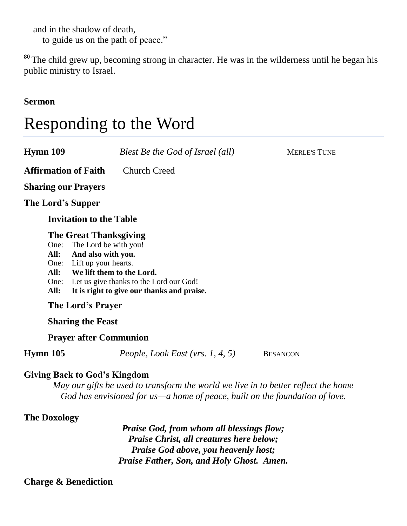and in the shadow of death, to guide us on the path of peace."

**<sup>80</sup>** The child grew up, becoming strong in character. He was in the wilderness until he began his public ministry to Israel.

**Sermon**

# Responding to the Word

| Hymn 109                             | Blest Be the God of Israel (all)                                                                                                                                                                                                | <b>MERLE'S TUNE</b> |
|--------------------------------------|---------------------------------------------------------------------------------------------------------------------------------------------------------------------------------------------------------------------------------|---------------------|
| <b>Affirmation of Faith</b>          | <b>Church Creed</b>                                                                                                                                                                                                             |                     |
| <b>Sharing our Prayers</b>           |                                                                                                                                                                                                                                 |                     |
| The Lord's Supper                    |                                                                                                                                                                                                                                 |                     |
| <b>Invitation to the Table</b>       |                                                                                                                                                                                                                                 |                     |
| One:<br>All:<br>All:<br>One:<br>All: | <b>The Great Thanksgiving</b><br>The Lord be with you!<br>And also with you.<br>One: Lift up your hearts.<br>We lift them to the Lord.<br>Let us give thanks to the Lord our God!<br>It is right to give our thanks and praise. |                     |
| The Lord's Prayer                    |                                                                                                                                                                                                                                 |                     |
| <b>Sharing the Feast</b>             |                                                                                                                                                                                                                                 |                     |
| <b>Prayer after Communion</b>        |                                                                                                                                                                                                                                 |                     |
| Hymn 105                             | People, Look East (vrs. 1, 4, 5)                                                                                                                                                                                                | <b>BESANCON</b>     |
| Civing Book to Cod's Kingdom         |                                                                                                                                                                                                                                 |                     |

#### **Giving Back to God's Kingdom**

*May our gifts be used to transform the world we live in to better reflect the home God has envisioned for us—a home of peace, built on the foundation of love.*

#### **The Doxology**

*Praise God, from whom all blessings flow; Praise Christ, all creatures here below; Praise God above, you heavenly host; Praise Father, Son, and Holy Ghost. Amen.*

#### **Charge & Benediction**